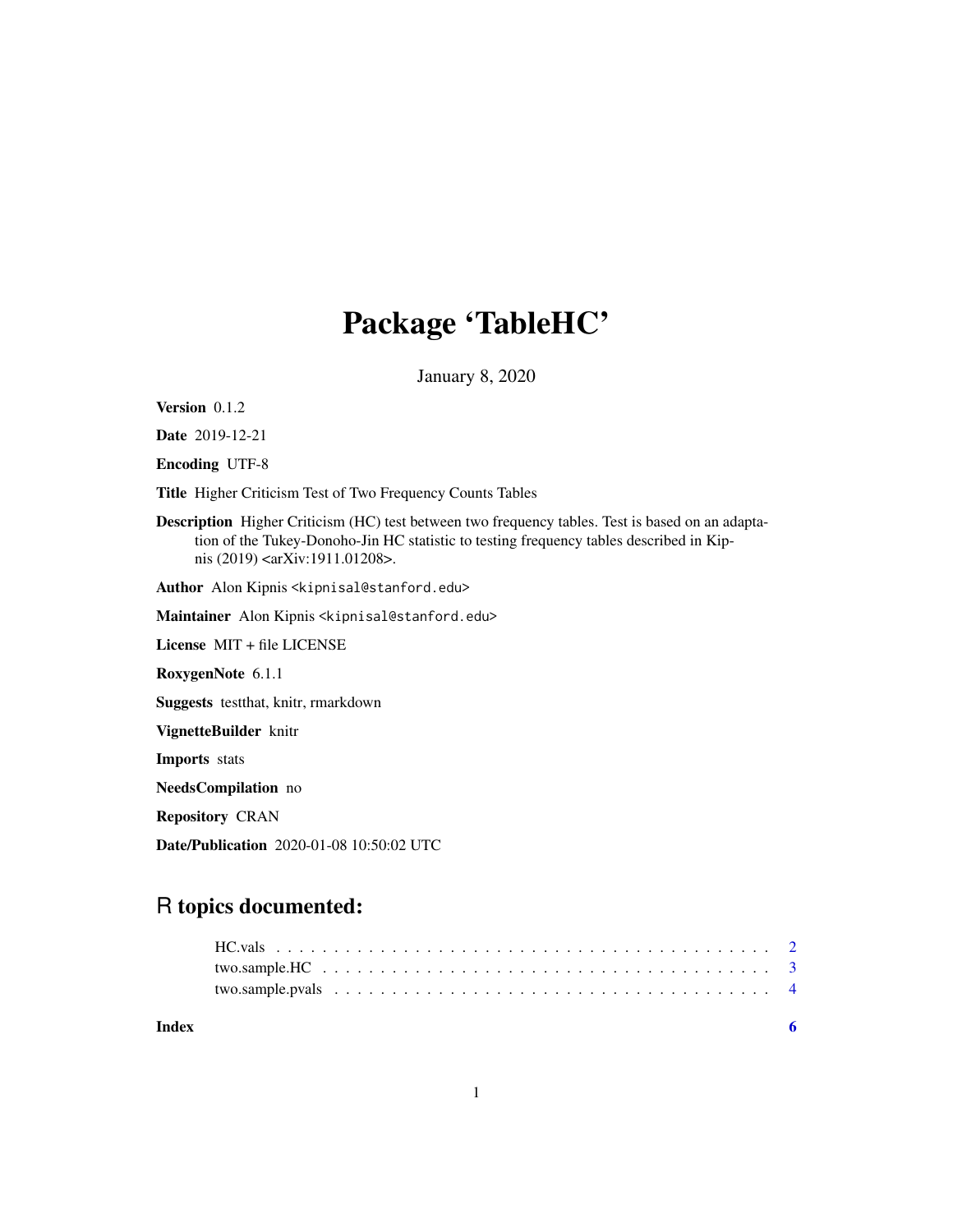## Package 'TableHC'

January 8, 2020

Version 0.1.2

Date 2019-12-21

Encoding UTF-8

Title Higher Criticism Test of Two Frequency Counts Tables

Description Higher Criticism (HC) test between two frequency tables. Test is based on an adaptation of the Tukey-Donoho-Jin HC statistic to testing frequency tables described in Kipnis (2019) <arXiv:1911.01208>.

Author Alon Kipnis <kipnisal@stanford.edu>

Maintainer Alon Kipnis <kipnisal@stanford.edu>

License MIT + file LICENSE

RoxygenNote 6.1.1

Suggests testthat, knitr, rmarkdown

VignetteBuilder knitr

Imports stats

NeedsCompilation no

Repository CRAN

Date/Publication 2020-01-08 10:50:02 UTC

### R topics documented:

| Index |                                                                                                            |  |
|-------|------------------------------------------------------------------------------------------------------------|--|
|       |                                                                                                            |  |
|       | two.sample.HC $\ldots \ldots \ldots \ldots \ldots \ldots \ldots \ldots \ldots \ldots \ldots \ldots \ldots$ |  |
|       |                                                                                                            |  |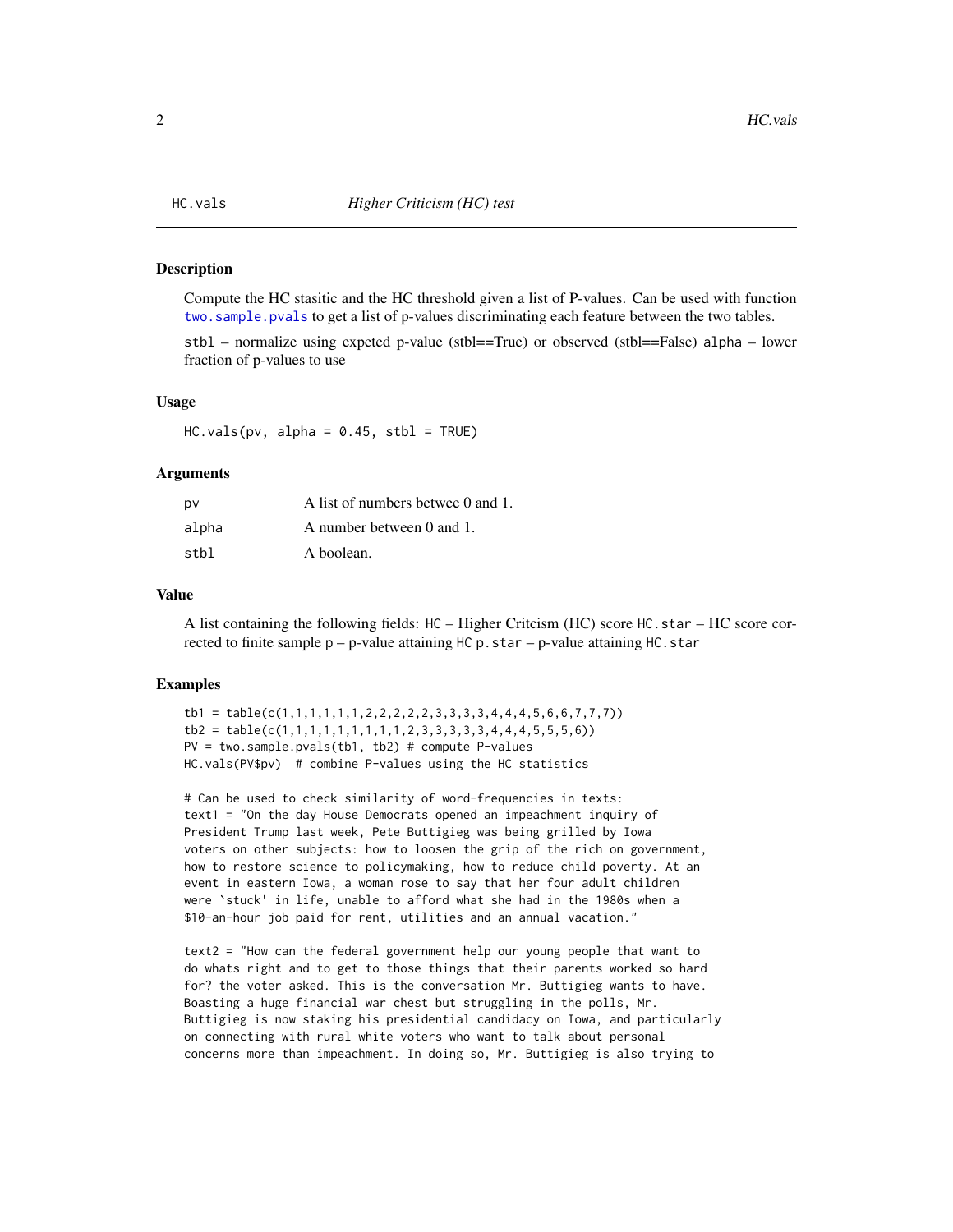#### <span id="page-1-0"></span>Description

Compute the HC stasitic and the HC threshold given a list of P-values. Can be used with function two. sample. pvals to get a list of p-values discriminating each feature between the two tables.

stbl – normalize using expeted p-value (stbl==True) or observed (stbl==False) alpha – lower fraction of p-values to use

#### Usage

 $HC.values(pv, alpha = 0.45, stbl = TRUE)$ 

#### Arguments

| pv    | A list of numbers betwee 0 and 1. |
|-------|-----------------------------------|
| alpha | A number between 0 and 1.         |
| stbl  | A boolean.                        |

#### Value

A list containing the following fields: HC – Higher Critcism (HC) score HC.star – HC score corrected to finite sample  $p - p$ -value attaining HC p.star – p-value attaining HC.star

#### Examples

```
tb1 = table(c(1,1,1,1,1,1,2,2,2,2,2,3,3,3,4,4,4,5,6,6,7,7,7))
tb2 = table(c(1,1,1,1,1,1,1,1,1,2,3,3,3,3,3,4,4,4,5,5,5,6))PV = two-sample.pvals(tb1, tb2) # compute P-valuesHC.vals(PV$pv) # combine P-values using the HC statistics
```
# Can be used to check similarity of word-frequencies in texts: text1 = "On the day House Democrats opened an impeachment inquiry of President Trump last week, Pete Buttigieg was being grilled by Iowa voters on other subjects: how to loosen the grip of the rich on government, how to restore science to policymaking, how to reduce child poverty. At an event in eastern Iowa, a woman rose to say that her four adult children were `stuck' in life, unable to afford what she had in the 1980s when a \$10-an-hour job paid for rent, utilities and an annual vacation."

text2 = "How can the federal government help our young people that want to do whats right and to get to those things that their parents worked so hard for? the voter asked. This is the conversation Mr. Buttigieg wants to have. Boasting a huge financial war chest but struggling in the polls, Mr. Buttigieg is now staking his presidential candidacy on Iowa, and particularly on connecting with rural white voters who want to talk about personal concerns more than impeachment. In doing so, Mr. Buttigieg is also trying to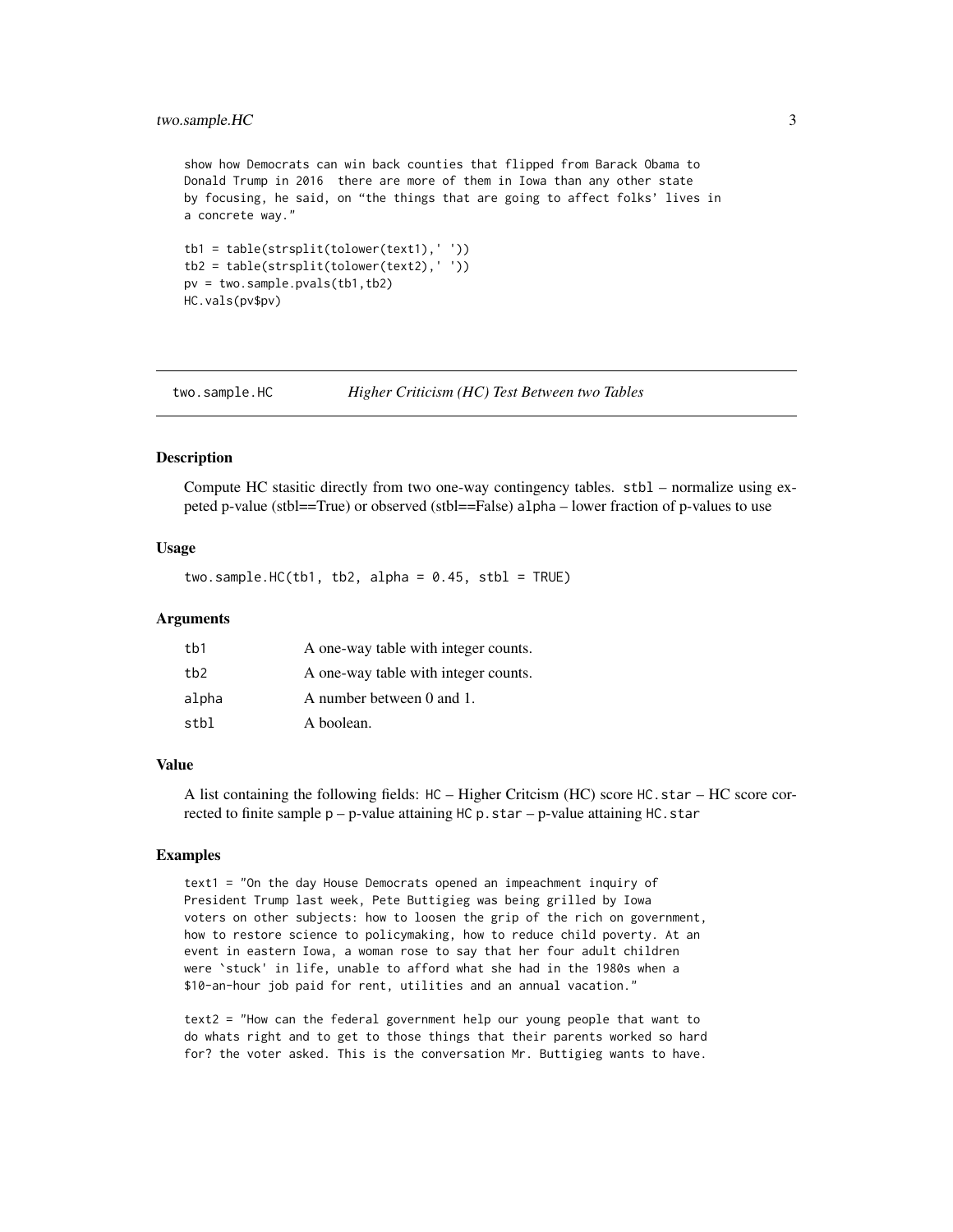#### <span id="page-2-0"></span>two.sample.HC 3

show how Democrats can win back counties that flipped from Barack Obama to Donald Trump in 2016 there are more of them in Iowa than any other state by focusing, he said, on "the things that are going to affect folks' lives in a concrete way."

```
tb1 = table(strsplit(tolower(text1),' '))
tb2 = table(strsplit(tolower(text2),' '))
pv = two.sample.pvals(tb1,tb2)
HC.vals(pv$pv)
```
two.sample.HC *Higher Criticism (HC) Test Between two Tables*

#### Description

Compute HC stasitic directly from two one-way contingency tables. stbl – normalize using expeted p-value (stbl==True) or observed (stbl==False) alpha – lower fraction of p-values to use

#### Usage

 $two.\text{sample.HC(tb1, tb2, alpha = 0.45, stb1 = TRUE})$ 

#### Arguments

| tb1             | A one-way table with integer counts. |
|-----------------|--------------------------------------|
| tb <sub>2</sub> | A one-way table with integer counts. |
| alpha           | A number between 0 and 1.            |
| stbl            | A boolean.                           |

#### Value

A list containing the following fields: HC – Higher Critcism (HC) score HC.star – HC score corrected to finite sample  $p - p$ -value attaining HC p.star – p-value attaining HC.star

#### Examples

text1 = "On the day House Democrats opened an impeachment inquiry of President Trump last week, Pete Buttigieg was being grilled by Iowa voters on other subjects: how to loosen the grip of the rich on government, how to restore science to policymaking, how to reduce child poverty. At an event in eastern Iowa, a woman rose to say that her four adult children were `stuck' in life, unable to afford what she had in the 1980s when a \$10-an-hour job paid for rent, utilities and an annual vacation."

text2 = "How can the federal government help our young people that want to do whats right and to get to those things that their parents worked so hard for? the voter asked. This is the conversation Mr. Buttigieg wants to have.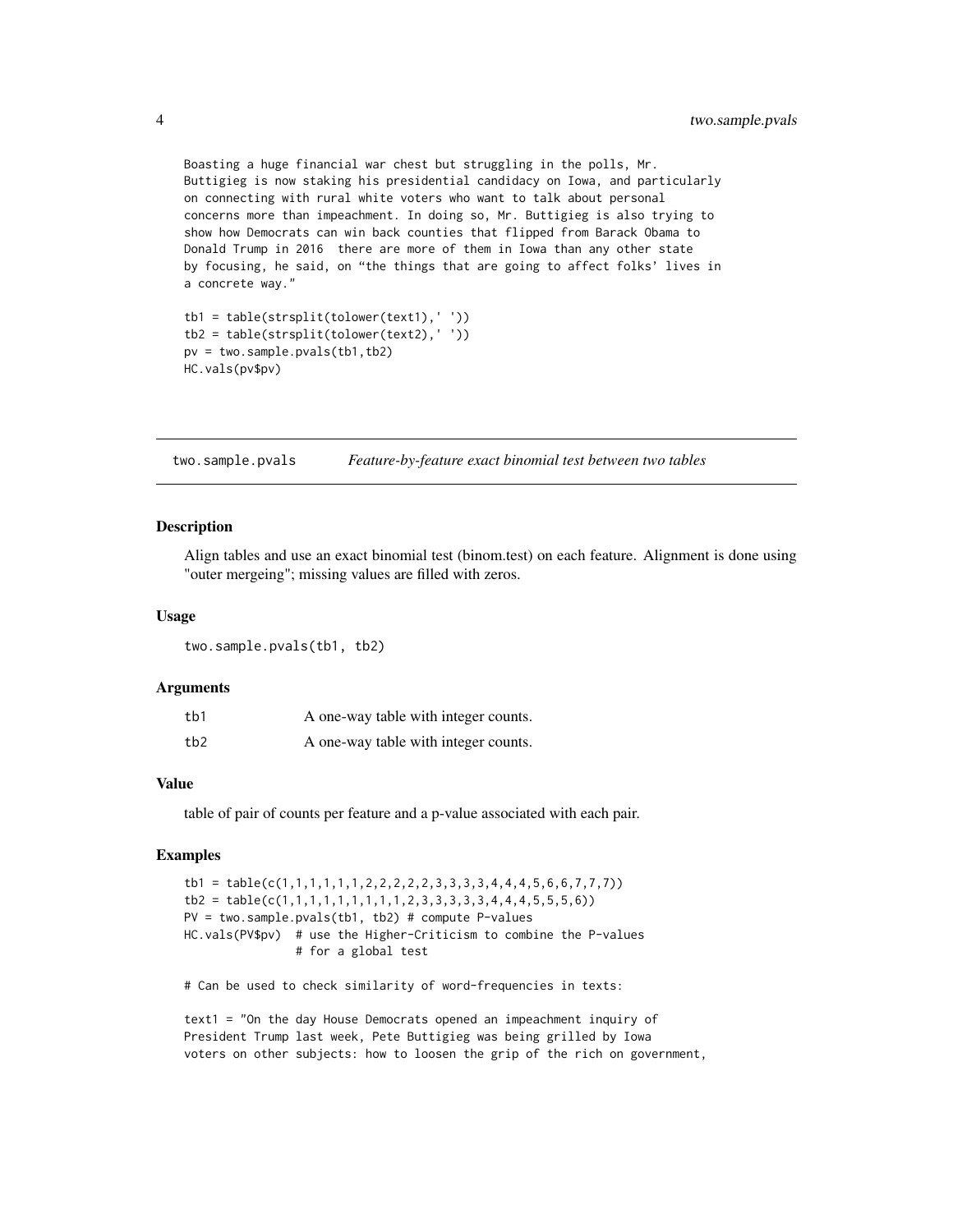Boasting a huge financial war chest but struggling in the polls, Mr. Buttigieg is now staking his presidential candidacy on Iowa, and particularly on connecting with rural white voters who want to talk about personal concerns more than impeachment. In doing so, Mr. Buttigieg is also trying to show how Democrats can win back counties that flipped from Barack Obama to Donald Trump in 2016 there are more of them in Iowa than any other state by focusing, he said, on "the things that are going to affect folks' lives in a concrete way."

```
tb1 = table(strsplit(tolower(text1),' '))
tb2 = table(strsplit(tolower(text2),' '))
pv = two.sample.pvals(tb1,tb2)
HC.vals(pv$pv)
```
<span id="page-3-1"></span>two.sample.pvals *Feature-by-feature exact binomial test between two tables*

#### Description

Align tables and use an exact binomial test (binom.test) on each feature. Alignment is done using "outer mergeing"; missing values are filled with zeros.

#### Usage

two.sample.pvals(tb1, tb2)

#### Arguments

| tb1 | A one-way table with integer counts. |
|-----|--------------------------------------|
| tb2 | A one-way table with integer counts. |

#### Value

table of pair of counts per feature and a p-value associated with each pair.

#### Examples

```
tb1 = table(c(1,1,1,1,1,1,2,2,2,2,2,3,3,3,3,4,4,4,5,6,6,7,7,7))tb2 = table(c(1,1,1,1,1,1,1,1,1,1,2,3,3,3,3,3,4,4,4,5,5,5,6))PV = two.sample.pvals(tb1, tb2) # compute P-values
HC.vals(PV$pv) # use the Higher-Criticism to combine the P-values
                # for a global test
```
# Can be used to check similarity of word-frequencies in texts:

text1 = "On the day House Democrats opened an impeachment inquiry of President Trump last week, Pete Buttigieg was being grilled by Iowa voters on other subjects: how to loosen the grip of the rich on government,

<span id="page-3-0"></span>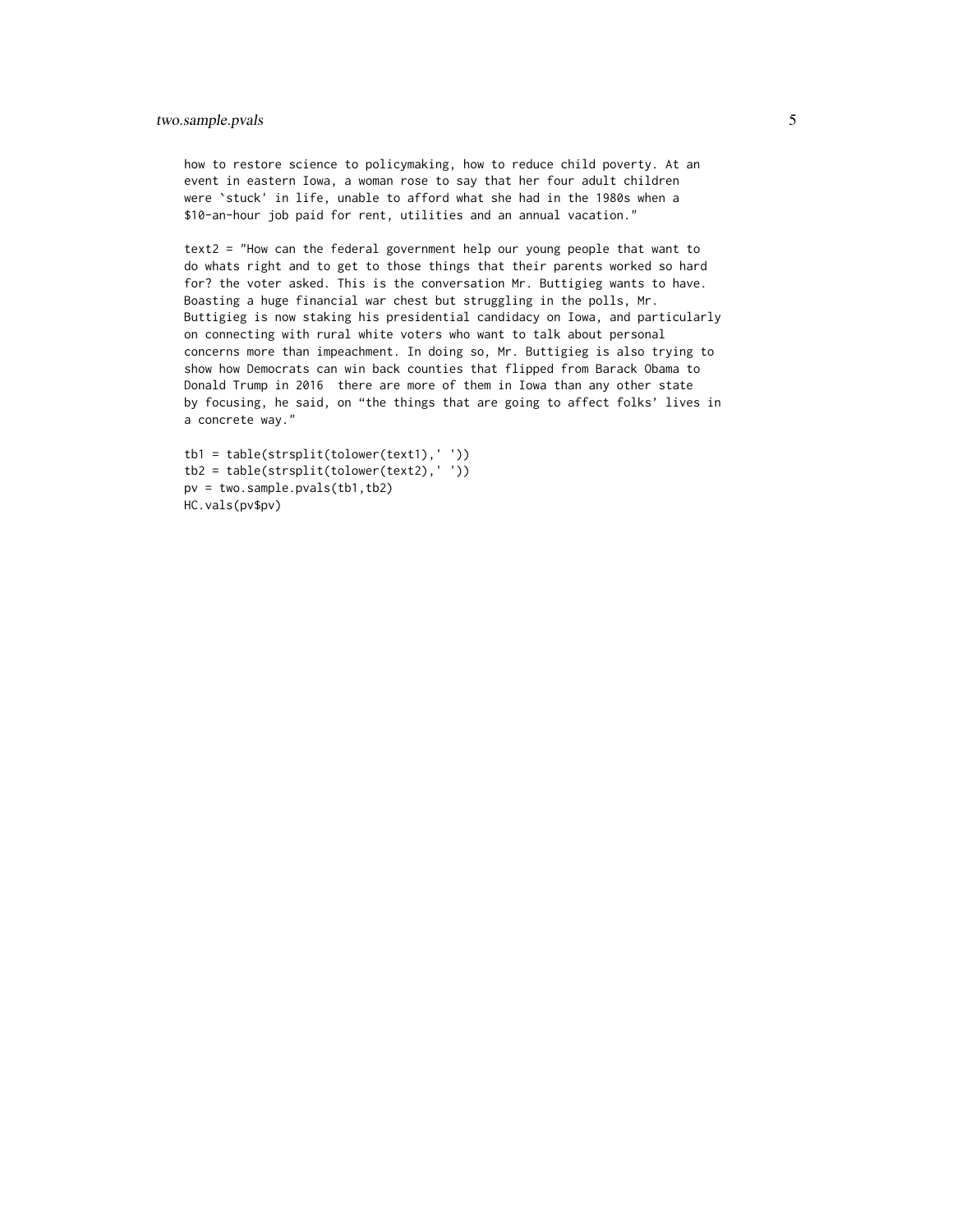#### two.sample.pvals 5

how to restore science to policymaking, how to reduce child poverty. At an event in eastern Iowa, a woman rose to say that her four adult children were `stuck' in life, unable to afford what she had in the 1980s when a \$10-an-hour job paid for rent, utilities and an annual vacation."

text2 = "How can the federal government help our young people that want to do whats right and to get to those things that their parents worked so hard for? the voter asked. This is the conversation Mr. Buttigieg wants to have. Boasting a huge financial war chest but struggling in the polls, Mr. Buttigieg is now staking his presidential candidacy on Iowa, and particularly on connecting with rural white voters who want to talk about personal concerns more than impeachment. In doing so, Mr. Buttigieg is also trying to show how Democrats can win back counties that flipped from Barack Obama to Donald Trump in 2016 there are more of them in Iowa than any other state by focusing, he said, on "the things that are going to affect folks' lives in a concrete way."

```
tb1 = table(strsplit(tolower(text1),' '))
tb2 = table(strsplit(tolower(text2),' '))
pv = two.sample.pvals(tb1,tb2)
HC.vals(pv$pv)
```